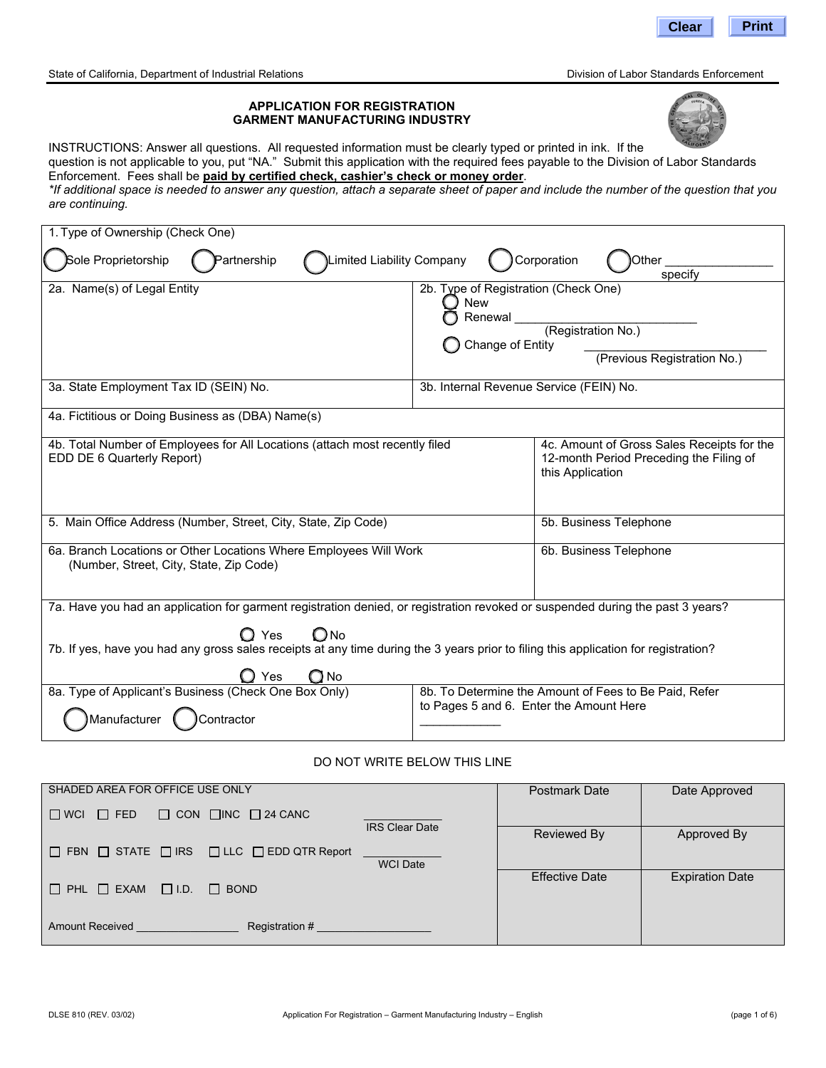

State of California, Department of Industrial Relations **Dividends** Division of Labor Standards Enforcement

INSTRUCTIONS: Answer all questions. All requested information must be clearly typed or printed in ink. If the question is not applicable to you, put "NA." Submit this application with the required fees payable to the Division of Labor Standards Enforcement. Fees shall be **paid by certified check, cashier's check or money order**. *\*If additional space is needed to answer any question, attach a separate sheet of paper and include the number of the question that you*

**APPLICATION FOR REGISTRATION GARMENT MANUFACTURING INDUSTRY** 

*are continuing.*

| 1. Type of Ownership (Check One)                                                                                                                                                  |                                                                             |                                                                                                           |  |
|-----------------------------------------------------------------------------------------------------------------------------------------------------------------------------------|-----------------------------------------------------------------------------|-----------------------------------------------------------------------------------------------------------|--|
| Sole Proprietorship<br>Limited Liability Company<br>Partnership                                                                                                                   |                                                                             | Corporation<br>Other<br>specify                                                                           |  |
| 2a. Name(s) of Legal Entity                                                                                                                                                       | 2b. Type of Registration (Check One)<br>New<br>Renewal_<br>Change of Entity | (Registration No.)<br>(Previous Registration No.)                                                         |  |
| 3a. State Employment Tax ID (SEIN) No.                                                                                                                                            | 3b. Internal Revenue Service (FEIN) No.                                     |                                                                                                           |  |
| 4a. Fictitious or Doing Business as (DBA) Name(s)                                                                                                                                 |                                                                             |                                                                                                           |  |
| 4b. Total Number of Employees for All Locations (attach most recently filed<br>EDD DE 6 Quarterly Report)                                                                         |                                                                             | 4c. Amount of Gross Sales Receipts for the<br>12-month Period Preceding the Filing of<br>this Application |  |
| 5. Main Office Address (Number, Street, City, State, Zip Code)                                                                                                                    |                                                                             | 5b. Business Telephone                                                                                    |  |
| 6a. Branch Locations or Other Locations Where Employees Will Work<br>(Number, Street, City, State, Zip Code)                                                                      |                                                                             | 6b. Business Telephone                                                                                    |  |
| 7a. Have you had an application for garment registration denied, or registration revoked or suspended during the past 3 years?                                                    |                                                                             |                                                                                                           |  |
| $\mathbf{\mathsf{O}}$ Yes<br>$\bigcirc$ No<br>7b. If yes, have you had any gross sales receipts at any time during the 3 years prior to filing this application for registration? |                                                                             |                                                                                                           |  |
| Yes                                                                                                                                                                               |                                                                             |                                                                                                           |  |
| 8a. Type of Applicant's Business (Check One Box Only)<br>Manufacturer (<br>Contractor                                                                                             | to Pages 5 and 6. Enter the Amount Here                                     | 8b. To Determine the Amount of Fees to Be Paid, Refer                                                     |  |

#### DO NOT WRITE BELOW THIS LINE

| SHADED AREA FOR OFFICE USE ONLY                                                           | <b>Postmark Date</b>  | Date Approved          |
|-------------------------------------------------------------------------------------------|-----------------------|------------------------|
| $\Box$ WCL<br>$\Box$ CON $\Box$ INC $\Box$ 24 CANC<br>$\Box$ FED<br><b>IRS Clear Date</b> |                       |                        |
|                                                                                           | Reviewed By           | Approved By            |
| $\Box$ FBN $\Box$ STATE $\Box$ IRS $\Box$ LLC $\Box$ EDD QTR Report<br><b>WCI Date</b>    |                       |                        |
| $\Box$ PHL $\Box$ EXAM<br>$\Box$ I.D.<br>$\Box$ BOND                                      | <b>Effective Date</b> | <b>Expiration Date</b> |
| Amount Received <b>Amount</b>                                                             |                       |                        |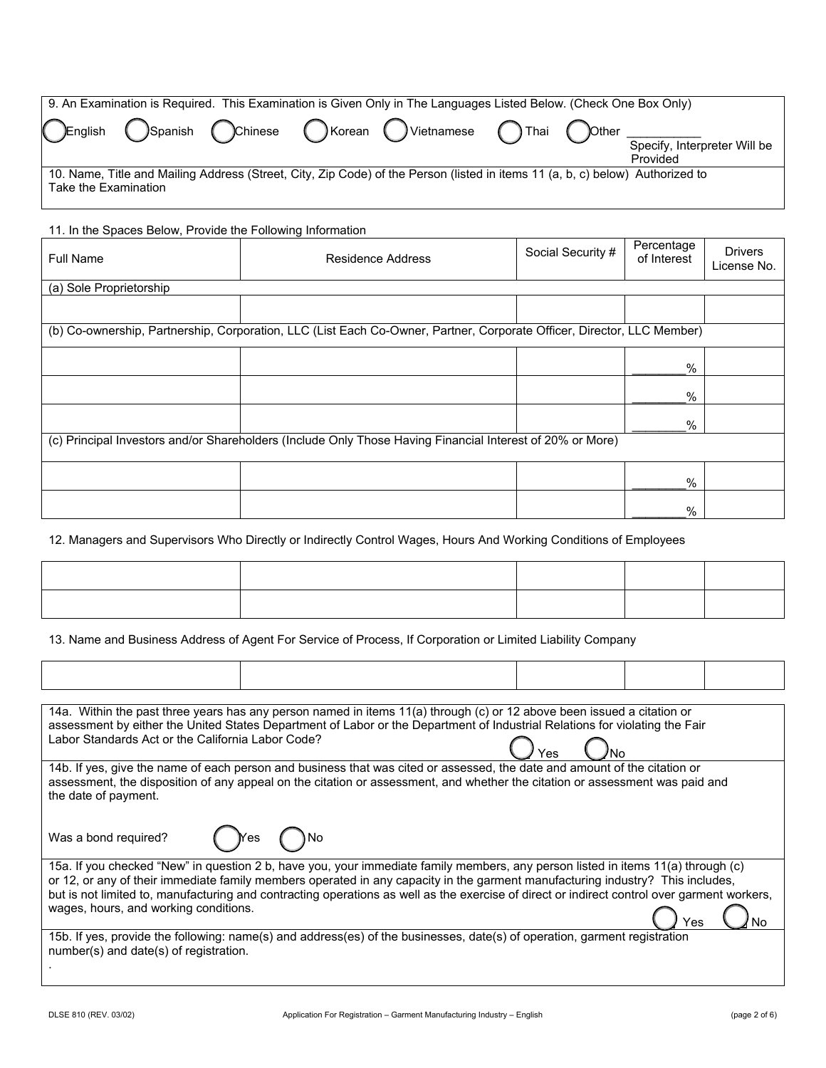| 9. An Examination is Required. This Examination is Given Only in The Languages Listed Below. (Check One Box Only)                                     |  |  |  |  |                                          |
|-------------------------------------------------------------------------------------------------------------------------------------------------------|--|--|--|--|------------------------------------------|
| CEnglish OSpanish Ochinese OKorean OVietnamese OThai OOther                                                                                           |  |  |  |  | Specify, Interpreter Will be<br>Provided |
| 10. Name, Title and Mailing Address (Street, City, Zip Code) of the Person (listed in items 11 (a, b, c) below) Authorized to<br>Take the Examination |  |  |  |  |                                          |

| 11. In the Spaces Below, Provide the Following Information |                                                                                                                        |                   |                           |                               |
|------------------------------------------------------------|------------------------------------------------------------------------------------------------------------------------|-------------------|---------------------------|-------------------------------|
| <b>Full Name</b>                                           | <b>Residence Address</b>                                                                                               | Social Security # | Percentage<br>of Interest | <b>Drivers</b><br>License No. |
| (a) Sole Proprietorship                                    |                                                                                                                        |                   |                           |                               |
|                                                            |                                                                                                                        |                   |                           |                               |
|                                                            | (b) Co-ownership, Partnership, Corporation, LLC (List Each Co-Owner, Partner, Corporate Officer, Director, LLC Member) |                   |                           |                               |
|                                                            |                                                                                                                        |                   | $\%$                      |                               |
|                                                            |                                                                                                                        |                   | %                         |                               |
|                                                            |                                                                                                                        |                   | $\%$                      |                               |
|                                                            | (c) Principal Investors and/or Shareholders (Include Only Those Having Financial Interest of 20% or More)              |                   |                           |                               |
|                                                            |                                                                                                                        |                   | $\%$                      |                               |
|                                                            |                                                                                                                        |                   | %                         |                               |

12. Managers and Supervisors Who Directly or Indirectly Control Wages, Hours And Working Conditions of Employees

13. Name and Business Address of Agent For Service of Process, If Corporation or Limited Liability Company

| 14a. Within the past three years has any person named in items 11(a) through (c) or 12 above been issued a citation or                      |  |  |
|---------------------------------------------------------------------------------------------------------------------------------------------|--|--|
| assessment by either the United States Department of Labor or the Department of Industrial Relations for violating the Fair                 |  |  |
| Labor Standards Act or the California Labor Code?                                                                                           |  |  |
|                                                                                                                                             |  |  |
| 14b. If yes, give the name of each person and business that was cited or assessed, the date and amount of the citation or                   |  |  |
| assessment, the disposition of any appeal on the citation or assessment, and whether the citation or assessment was paid and                |  |  |
| the date of payment.                                                                                                                        |  |  |
|                                                                                                                                             |  |  |
|                                                                                                                                             |  |  |
| Was a bond required?<br>( )No<br>Yes                                                                                                        |  |  |
|                                                                                                                                             |  |  |
| 15a. If you checked "New" in question 2 b, have you, your immediate family members, any person listed in items 11(a) through (c)            |  |  |
| or 12, or any of their immediate family members operated in any capacity in the garment manufacturing industry? This includes,              |  |  |
| but is not limited to, manufacturing and contracting operations as well as the exercise of direct or indirect control over garment workers, |  |  |
| wages, hours, and working conditions.                                                                                                       |  |  |
|                                                                                                                                             |  |  |
| 15b. If yes, provide the following: name(s) and address(es) of the businesses, date(s) of operation, garment registration                   |  |  |
| number(s) and date(s) of registration.                                                                                                      |  |  |
|                                                                                                                                             |  |  |
|                                                                                                                                             |  |  |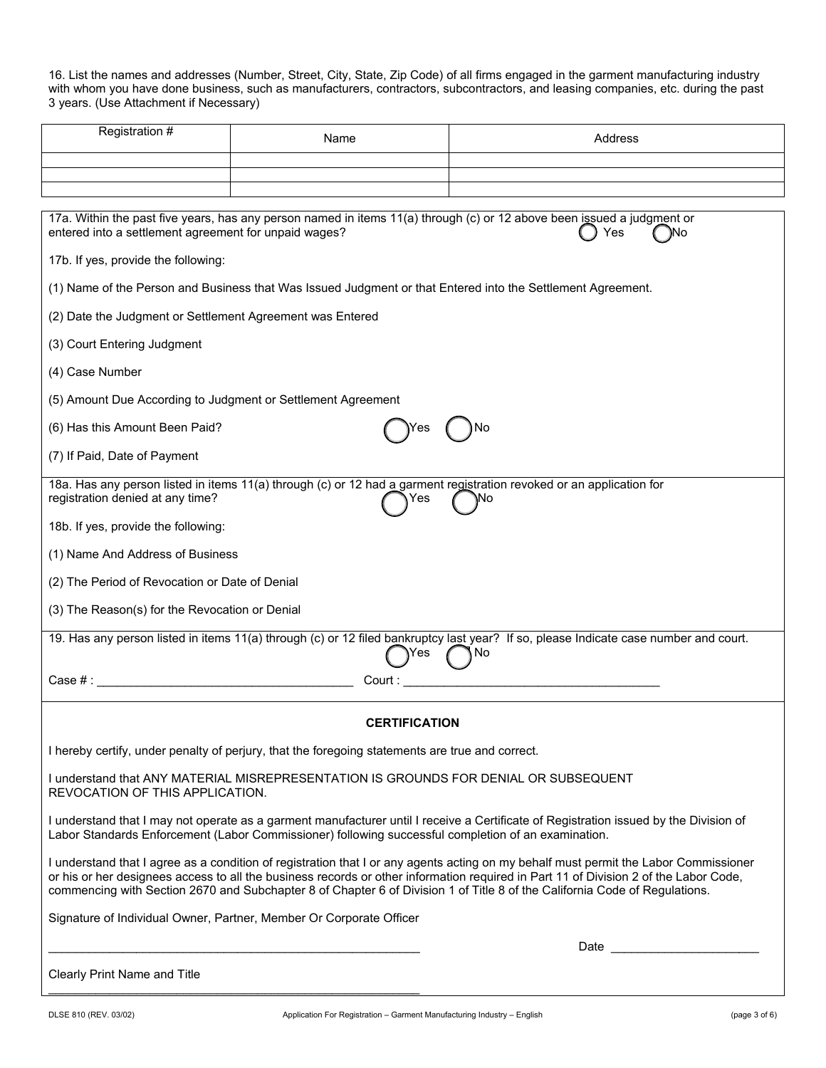16. List the names and addresses (Number, Street, City, State, Zip Code) of all firms engaged in the garment manufacturing industry with whom you have done business, such as manufacturers, contractors, subcontractors, and leasing companies, etc. during the past 3 years. (Use Attachment if Necessary)

| Registration #                                                                                                                                                                                                                                                                                                                                                                                             | Name                                                                                                                              | Address                                                                                                                                                                                                                        |  |  |  |
|------------------------------------------------------------------------------------------------------------------------------------------------------------------------------------------------------------------------------------------------------------------------------------------------------------------------------------------------------------------------------------------------------------|-----------------------------------------------------------------------------------------------------------------------------------|--------------------------------------------------------------------------------------------------------------------------------------------------------------------------------------------------------------------------------|--|--|--|
|                                                                                                                                                                                                                                                                                                                                                                                                            |                                                                                                                                   |                                                                                                                                                                                                                                |  |  |  |
|                                                                                                                                                                                                                                                                                                                                                                                                            |                                                                                                                                   |                                                                                                                                                                                                                                |  |  |  |
|                                                                                                                                                                                                                                                                                                                                                                                                            |                                                                                                                                   |                                                                                                                                                                                                                                |  |  |  |
| entered into a settlement agreement for unpaid wages?                                                                                                                                                                                                                                                                                                                                                      |                                                                                                                                   | 17a. Within the past five years, has any person named in items 11(a) through (c) or 12 above been issued a judgment or<br>Yes<br>۱No                                                                                           |  |  |  |
| 17b. If yes, provide the following:                                                                                                                                                                                                                                                                                                                                                                        |                                                                                                                                   |                                                                                                                                                                                                                                |  |  |  |
|                                                                                                                                                                                                                                                                                                                                                                                                            | (1) Name of the Person and Business that Was Issued Judgment or that Entered into the Settlement Agreement.                       |                                                                                                                                                                                                                                |  |  |  |
| (2) Date the Judgment or Settlement Agreement was Entered                                                                                                                                                                                                                                                                                                                                                  |                                                                                                                                   |                                                                                                                                                                                                                                |  |  |  |
| (3) Court Entering Judgment                                                                                                                                                                                                                                                                                                                                                                                |                                                                                                                                   |                                                                                                                                                                                                                                |  |  |  |
| (4) Case Number                                                                                                                                                                                                                                                                                                                                                                                            |                                                                                                                                   |                                                                                                                                                                                                                                |  |  |  |
| (5) Amount Due According to Judgment or Settlement Agreement                                                                                                                                                                                                                                                                                                                                               |                                                                                                                                   |                                                                                                                                                                                                                                |  |  |  |
| (6) Has this Amount Been Paid?                                                                                                                                                                                                                                                                                                                                                                             |                                                                                                                                   | No                                                                                                                                                                                                                             |  |  |  |
| (7) If Paid, Date of Payment                                                                                                                                                                                                                                                                                                                                                                               |                                                                                                                                   |                                                                                                                                                                                                                                |  |  |  |
| registration denied at any time?                                                                                                                                                                                                                                                                                                                                                                           | 18a. Has any person listed in items 11(a) through (c) or 12 had a garment registration revoked or an application for<br>Yes<br>No |                                                                                                                                                                                                                                |  |  |  |
| 18b. If yes, provide the following:                                                                                                                                                                                                                                                                                                                                                                        |                                                                                                                                   |                                                                                                                                                                                                                                |  |  |  |
| (1) Name And Address of Business                                                                                                                                                                                                                                                                                                                                                                           |                                                                                                                                   |                                                                                                                                                                                                                                |  |  |  |
| (2) The Period of Revocation or Date of Denial                                                                                                                                                                                                                                                                                                                                                             |                                                                                                                                   |                                                                                                                                                                                                                                |  |  |  |
| (3) The Reason(s) for the Revocation or Denial                                                                                                                                                                                                                                                                                                                                                             |                                                                                                                                   |                                                                                                                                                                                                                                |  |  |  |
|                                                                                                                                                                                                                                                                                                                                                                                                            | Yes                                                                                                                               | 19. Has any person listed in items 11(a) through (c) or 12 filed bankruptcy last year? If so, please Indicate case number and court.<br>.No                                                                                    |  |  |  |
| $\text{Case } \#$ :                                                                                                                                                                                                                                                                                                                                                                                        | Court :                                                                                                                           |                                                                                                                                                                                                                                |  |  |  |
|                                                                                                                                                                                                                                                                                                                                                                                                            |                                                                                                                                   |                                                                                                                                                                                                                                |  |  |  |
|                                                                                                                                                                                                                                                                                                                                                                                                            | <b>CERTIFICATION</b>                                                                                                              |                                                                                                                                                                                                                                |  |  |  |
| I hereby certify, under penalty of perjury, that the foregoing statements are true and correct.                                                                                                                                                                                                                                                                                                            |                                                                                                                                   |                                                                                                                                                                                                                                |  |  |  |
| I understand that ANY MATERIAL MISREPRESENTATION IS GROUNDS FOR DENIAL OR SUBSEQUENT<br>REVOCATION OF THIS APPLICATION.                                                                                                                                                                                                                                                                                    |                                                                                                                                   |                                                                                                                                                                                                                                |  |  |  |
| I understand that I may not operate as a garment manufacturer until I receive a Certificate of Registration issued by the Division of<br>Labor Standards Enforcement (Labor Commissioner) following successful completion of an examination.                                                                                                                                                               |                                                                                                                                   |                                                                                                                                                                                                                                |  |  |  |
| I understand that I agree as a condition of registration that I or any agents acting on my behalf must permit the Labor Commissioner<br>or his or her designees access to all the business records or other information required in Part 11 of Division 2 of the Labor Code,<br>commencing with Section 2670 and Subchapter 8 of Chapter 6 of Division 1 of Title 8 of the California Code of Regulations. |                                                                                                                                   |                                                                                                                                                                                                                                |  |  |  |
| Signature of Individual Owner, Partner, Member Or Corporate Officer                                                                                                                                                                                                                                                                                                                                        |                                                                                                                                   |                                                                                                                                                                                                                                |  |  |  |
|                                                                                                                                                                                                                                                                                                                                                                                                            |                                                                                                                                   | Date and the contract of the contract of the contract of the contract of the contract of the contract of the contract of the contract of the contract of the contract of the contract of the contract of the contract of the c |  |  |  |
| Clearly Print Name and Title                                                                                                                                                                                                                                                                                                                                                                               |                                                                                                                                   |                                                                                                                                                                                                                                |  |  |  |

\_\_\_\_\_\_\_\_\_\_\_\_\_\_\_\_\_\_\_\_\_\_\_\_\_\_\_\_\_\_\_\_\_\_\_\_\_\_\_\_\_\_\_\_\_\_\_\_\_\_\_\_\_\_\_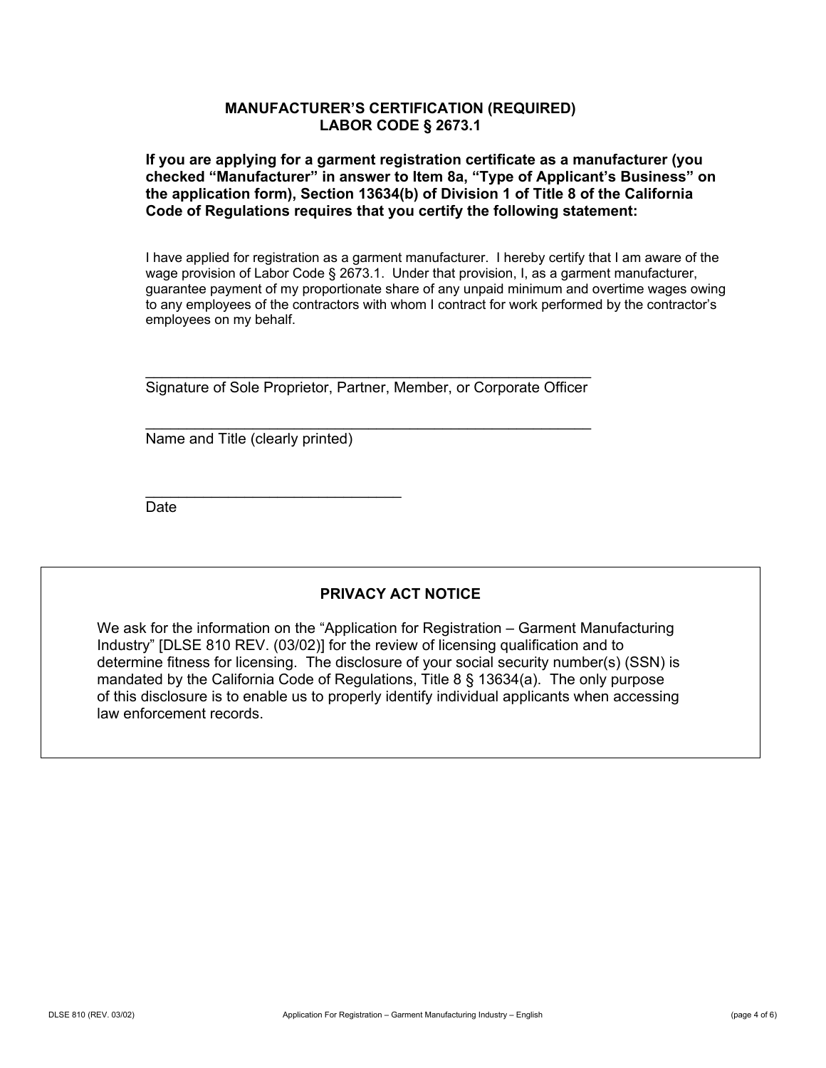## **MANUFACTURER'S CERTIFICATION (REQUIRED) LABOR CODE § 2673.1**

**If you are applying for a garment registration certificate as a manufacturer (you checked "Manufacturer" in answer to Item 8a, "Type of Applicant's Business" on the application form), Section 13634(b) of Division 1 of Title 8 of the California Code of Regulations requires that you certify the following statement:** 

I have applied for registration as a garment manufacturer. I hereby certify that I am aware of the wage provision of Labor Code § 2673.1. Under that provision, I, as a garment manufacturer, guarantee payment of my proportionate share of any unpaid minimum and overtime wages owing to any employees of the contractors with whom I contract for work performed by the contractor's employees on my behalf.

\_\_\_\_\_\_\_\_\_\_\_\_\_\_\_\_\_\_\_\_\_\_\_\_\_\_\_\_\_\_\_\_\_\_\_\_\_\_\_\_\_\_\_\_\_\_\_\_\_\_\_\_\_\_ Signature of Sole Proprietor, Partner, Member, or Corporate Officer

\_\_\_\_\_\_\_\_\_\_\_\_\_\_\_\_\_\_\_\_\_\_\_\_\_\_\_\_\_\_\_\_\_\_\_\_\_\_\_\_\_\_\_\_\_\_\_\_\_\_\_\_\_\_

Name and Title (clearly printed)

\_\_\_\_\_\_\_\_\_\_\_\_\_\_\_\_\_\_\_\_\_\_\_\_\_\_\_\_\_\_\_

**Date** 

# **PRIVACY ACT NOTICE**

We ask for the information on the "Application for Registration – Garment Manufacturing Industry" [DLSE 810 REV. (03/02)] for the review of licensing qualification and to determine fitness for licensing. The disclosure of your social security number(s) (SSN) is mandated by the California Code of Regulations, Title 8  $\S$  13634(a). The only purpose of this disclosure is to enable us to properly identify individual applicants when accessing law enforcement records.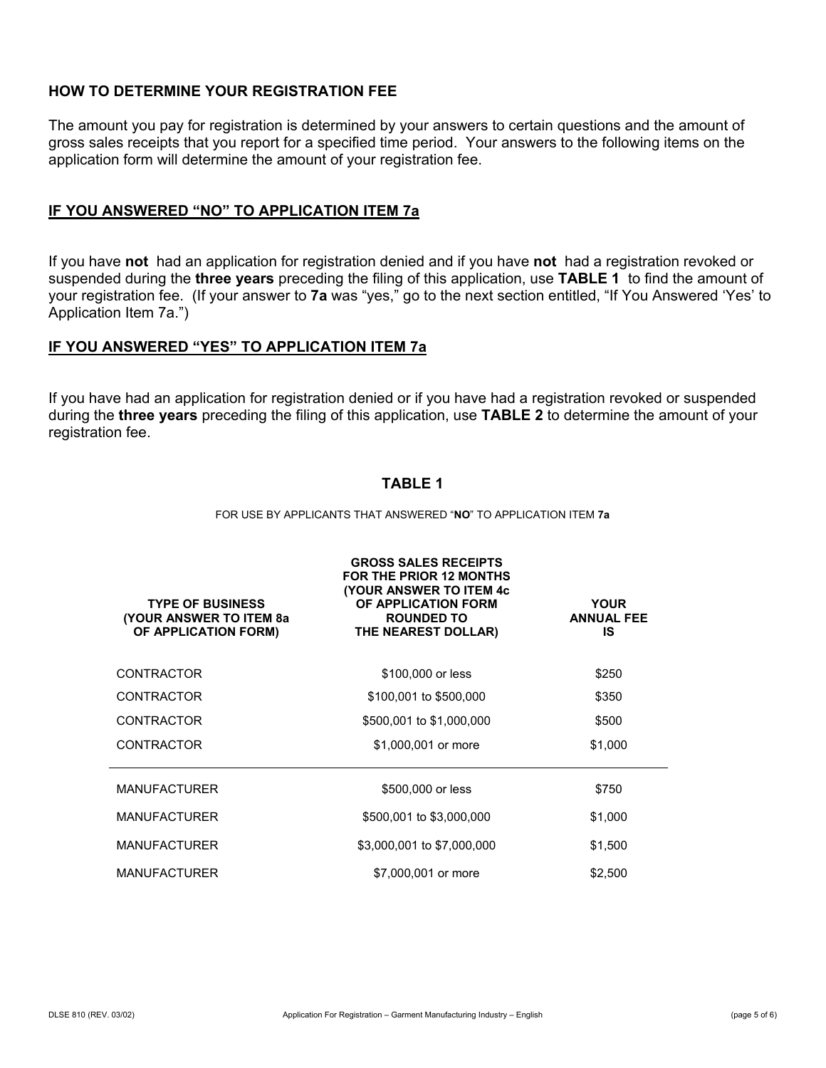## **HOW TO DETERMINE YOUR REGISTRATION FEE**

The amount you pay for registration is determined by your answers to certain questions and the amount of gross sales receipts that you report for a specified time period. Your answers to the following items on the application form will determine the amount of your registration fee.

#### **IF YOU ANSWERED "NO" TO APPLICATION ITEM 7a**

If you have **not** had an application for registration denied and if you have **not** had a registration revoked or suspended during the **three years** preceding the filing of this application, use **TABLE 1** to find the amount of your registration fee. (If your answer to **7a** was "yes," go to the next section entitled, "If You Answered 'Yes' to Application Item 7a.")

#### **IF YOU ANSWERED "YES" TO APPLICATION ITEM 7a**

If you have had an application for registration denied or if you have had a registration revoked or suspended during the **three years** preceding the filing of this application, use **TABLE 2** to determine the amount of your registration fee.

## **TABLE 1**

#### FOR USE BY APPLICANTS THAT ANSWERED "**NO**" TO APPLICATION ITEM **7a**

| <b>TYPE OF BUSINESS</b><br><b>(YOUR ANSWER TO ITEM 8a)</b><br>OF APPLICATION FORM) | <b>GROSS SALES RECEIPTS</b><br>FOR THE PRIOR 12 MONTHS<br><b>(YOUR ANSWER TO ITEM 4c)</b><br>OF APPLICATION FORM<br><b>ROUNDED TO</b><br>THE NEAREST DOLLAR) | <b>YOUR</b><br><b>ANNUAL FEE</b><br>IS |
|------------------------------------------------------------------------------------|--------------------------------------------------------------------------------------------------------------------------------------------------------------|----------------------------------------|
| <b>CONTRACTOR</b>                                                                  | \$100,000 or less                                                                                                                                            | \$250                                  |
| <b>CONTRACTOR</b>                                                                  | \$100,001 to \$500,000                                                                                                                                       | \$350                                  |
| <b>CONTRACTOR</b>                                                                  | \$500,001 to \$1,000,000                                                                                                                                     | \$500                                  |
| <b>CONTRACTOR</b>                                                                  | \$1,000,001 or more                                                                                                                                          | \$1,000                                |
| <b>MANUFACTURER</b>                                                                | \$500,000 or less                                                                                                                                            | \$750                                  |
| <b>MANUFACTURER</b>                                                                | \$500,001 to \$3,000,000                                                                                                                                     | \$1,000                                |
| <b>MANUFACTURER</b>                                                                | \$3,000,001 to \$7,000,000                                                                                                                                   | \$1,500                                |
| <b>MANUFACTURER</b>                                                                | \$7,000,001 or more                                                                                                                                          | \$2,500                                |